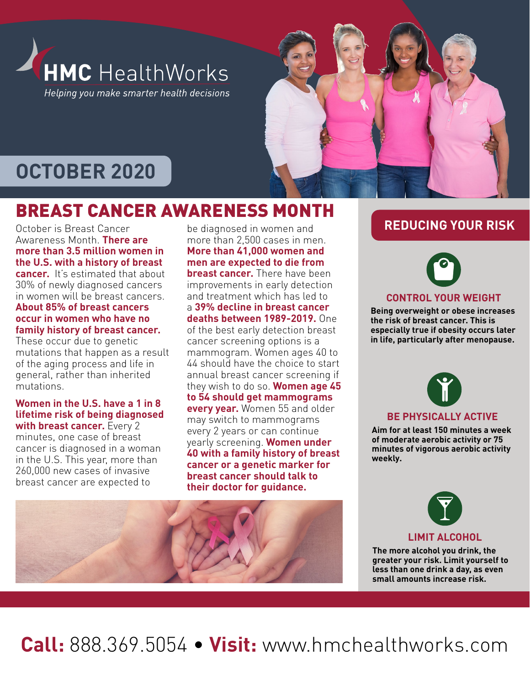

# **OCTOBER 2020**

## BREAST CANCER AWARENESS MONTH

October is Breast Cancer Awareness Month. **There are more than 3.5 million women in the U.S. with a history of breast cancer.** It's estimated that about 30% of newly diagnosed cancers in women will be breast cancers. **About 85% of breast cancers occur in women who have no** 

#### **family history of breast cancer.**  These occur due to genetic mutations that happen as a result of the aging process and life in general, rather than inherited

### mutations. **Women in the U.S. have a 1 in 8 lifetime risk of being diagnosed**

**with breast cancer.** Every 2 minutes, one case of breast cancer is diagnosed in a woman in the U.S. This year, more than 260,000 new cases of invasive breast cancer are expected to

be diagnosed in women and more than 2,500 cases in men. **More than 41,000 women and men are expected to die from breast cancer.** There have been improvements in early detection and treatment which has led to a **39% decline in breast cancer deaths between 1989-2019.** One of the best early detection breast cancer screening options is a mammogram. Women ages 40 to 44 should have the choice to start annual breast cancer screening if they wish to do so. **Women age 45 to 54 should get mammograms every year.** Women 55 and older may switch to mammograms every 2 years or can continue yearly screening. **Women under 40 with a family history of breast cancer or a genetic marker for breast cancer should talk to their doctor for guidance.**





### **CONTROL YOUR WEIGHT**

**Being overweight or obese increases the risk of breast cancer. This is especially true if obesity occurs later in life, particularly after menopause.**



### **BE PHYSICALLY ACTIVE**

**Aim for at least 150 minutes a week of moderate aerobic activity or 75 minutes of vigorous aerobic activity weekly.**



#### **LIMIT ALCOHOL**

**The more alcohol you drink, the greater your risk. Limit yourself to less than one drink a day, as even small amounts increase risk.**



**Call:** 888.369.5054 • **Visit:** www.hmchealthworks.com